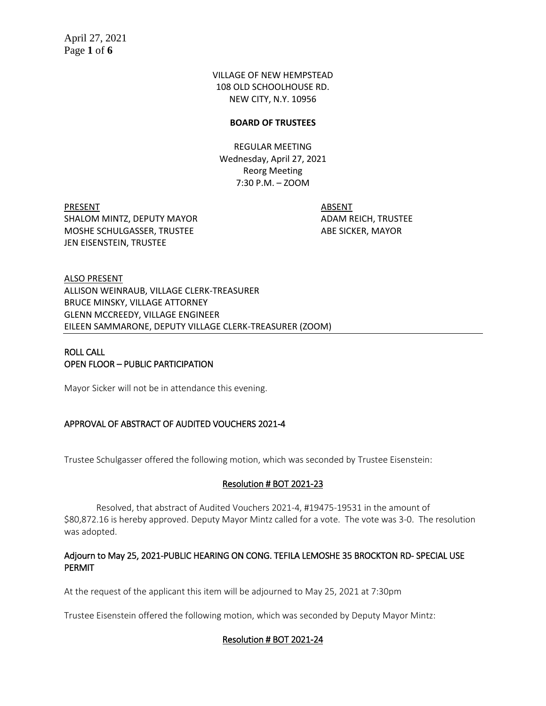VILLAGE OF NEW HEMPSTEAD 108 OLD SCHOOLHOUSE RD. NEW CITY, N.Y. 10956

#### **BOARD OF TRUSTEES**

REGULAR MEETING Wednesday, April 27, 2021 Reorg Meeting 7:30 P.M. – ZOOM

PRESENT ABSENT SHALOM MINTZ, DEPUTY MAYOR **ADAM REICH, TRUSTEE** MOSHE SCHULGASSER, TRUSTEE ABE SICKER, MAYOR JEN EISENSTEIN, TRUSTEE

ALSO PRESENT ALLISON WEINRAUB, VILLAGE CLERK-TREASURER BRUCE MINSKY, VILLAGE ATTORNEY GLENN MCCREEDY, VILLAGE ENGINEER EILEEN SAMMARONE, DEPUTY VILLAGE CLERK-TREASURER (ZOOM)

# ROLL CALL OPEN FLOOR – PUBLIC PARTICIPATION

Mayor Sicker will not be in attendance this evening.

# APPROVAL OF ABSTRACT OF AUDITED VOUCHERS 2021-4

Trustee Schulgasser offered the following motion, which was seconded by Trustee Eisenstein:

# Resolution # BOT 2021-23

Resolved, that abstract of Audited Vouchers 2021-4, #19475-19531 in the amount of \$80,872.16 is hereby approved. Deputy Mayor Mintz called for a vote. The vote was 3-0. The resolution was adopted.

# Adjourn to May 25, 2021-PUBLIC HEARING ON CONG. TEFILA LEMOSHE 35 BROCKTON RD- SPECIAL USE PERMIT

At the request of the applicant this item will be adjourned to May 25, 2021 at 7:30pm

Trustee Eisenstein offered the following motion, which was seconded by Deputy Mayor Mintz:

# Resolution # BOT 2021-24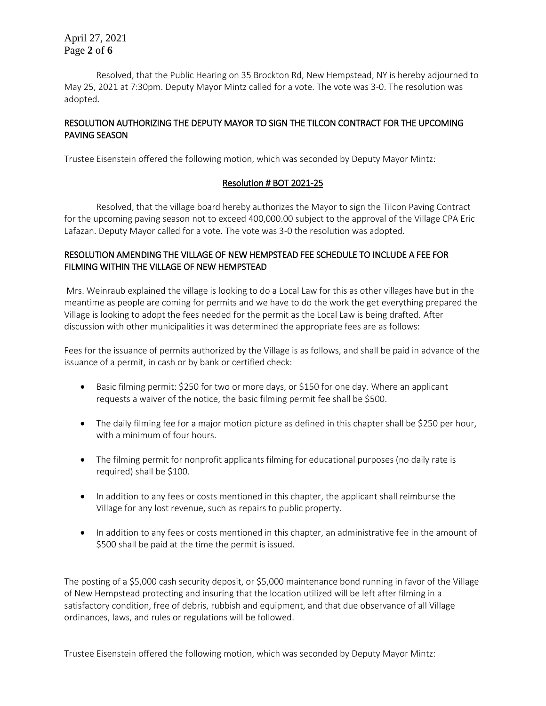April 27, 2021 Page **2** of **6**

Resolved, that the Public Hearing on 35 Brockton Rd, New Hempstead, NY is hereby adjourned to May 25, 2021 at 7:30pm. Deputy Mayor Mintz called for a vote. The vote was 3-0. The resolution was adopted.

## RESOLUTION AUTHORIZING THE DEPUTY MAYOR TO SIGN THE TILCON CONTRACT FOR THE UPCOMING PAVING SEASON

Trustee Eisenstein offered the following motion, which was seconded by Deputy Mayor Mintz:

# Resolution # BOT 2021-25

Resolved, that the village board hereby authorizes the Mayor to sign the Tilcon Paving Contract for the upcoming paving season not to exceed 400,000.00 subject to the approval of the Village CPA Eric Lafazan. Deputy Mayor called for a vote. The vote was 3-0 the resolution was adopted.

# RESOLUTION AMENDING THE VILLAGE OF NEW HEMPSTEAD FEE SCHEDULE TO INCLUDE A FEE FOR FILMING WITHIN THE VILLAGE OF NEW HEMPSTEAD

Mrs. Weinraub explained the village is looking to do a Local Law for this as other villages have but in the meantime as people are coming for permits and we have to do the work the get everything prepared the Village is looking to adopt the fees needed for the permit as the Local Law is being drafted. After discussion with other municipalities it was determined the appropriate fees are as follows:

Fees for the issuance of permits authorized by the Village is as follows, and shall be paid in advance of the issuance of a permit, in cash or by bank or certified check:

- Basic filming permit: \$250 for two or more days, or \$150 for one day. Where an applicant requests a waiver of the notice, the basic filming permit fee shall be \$500.
- The daily filming fee for a major motion picture as defined in this chapter shall be \$250 per hour, with a minimum of four hours.
- The filming permit for nonprofit applicants filming for educational purposes (no daily rate is required) shall be \$100.
- In addition to any fees or costs mentioned in this chapter, the applicant shall reimburse the Village for any lost revenue, such as repairs to public property.
- In addition to any fees or costs mentioned in this chapter, an administrative fee in the amount of \$500 shall be paid at the time the permit is issued.

The posting of a \$5,000 cash security deposit, or \$5,000 maintenance bond running in favor of the Village of New Hempstead protecting and insuring that the location utilized will be left after filming in a satisfactory condition, free of debris, rubbish and equipment, and that due observance of all Village ordinances, laws, and rules or regulations will be followed.

Trustee Eisenstein offered the following motion, which was seconded by Deputy Mayor Mintz: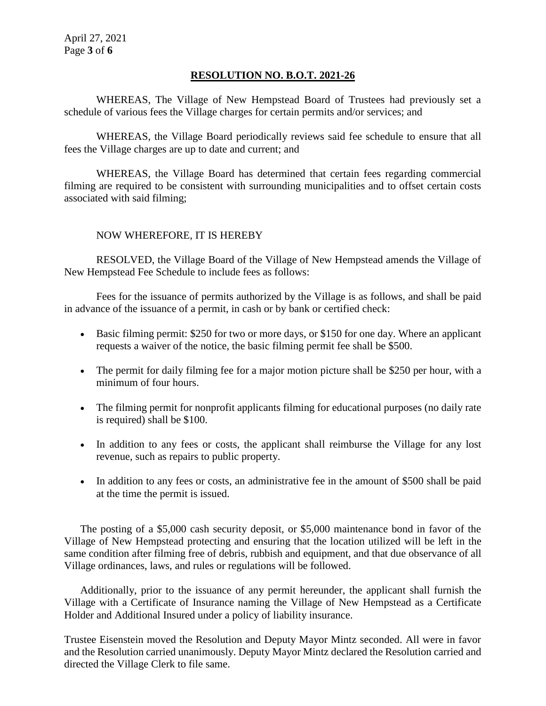# **RESOLUTION NO. B.O.T. 2021-26**

WHEREAS, The Village of New Hempstead Board of Trustees had previously set a schedule of various fees the Village charges for certain permits and/or services; and

WHEREAS, the Village Board periodically reviews said fee schedule to ensure that all fees the Village charges are up to date and current; and

WHEREAS, the Village Board has determined that certain fees regarding commercial filming are required to be consistent with surrounding municipalities and to offset certain costs associated with said filming;

# NOW WHEREFORE, IT IS HEREBY

RESOLVED, the Village Board of the Village of New Hempstead amends the Village of New Hempstead Fee Schedule to include fees as follows:

Fees for the issuance of permits authorized by the Village is as follows, and shall be paid in advance of the issuance of a permit, in cash or by bank or certified check:

- Basic filming permit: \$250 for two or more days, or \$150 for one day. Where an applicant requests a waiver of the notice, the basic filming permit fee shall be \$500.
- The permit for daily filming fee for a major motion picture shall be \$250 per hour, with a minimum of four hours.
- The filming permit for nonprofit applicants filming for educational purposes (no daily rate is required) shall be \$100.
- In addition to any fees or costs, the applicant shall reimburse the Village for any lost revenue, such as repairs to public property.
- In addition to any fees or costs, an administrative fee in the amount of \$500 shall be paid at the time the permit is issued.

The posting of a \$5,000 cash security deposit, or \$5,000 maintenance bond in favor of the Village of New Hempstead protecting and ensuring that the location utilized will be left in the same condition after filming free of debris, rubbish and equipment, and that due observance of all Village ordinances, laws, and rules or regulations will be followed.

Additionally, prior to the issuance of any permit hereunder, the applicant shall furnish the Village with a Certificate of Insurance naming the Village of New Hempstead as a Certificate Holder and Additional Insured under a policy of liability insurance.

Trustee Eisenstein moved the Resolution and Deputy Mayor Mintz seconded. All were in favor and the Resolution carried unanimously. Deputy Mayor Mintz declared the Resolution carried and directed the Village Clerk to file same.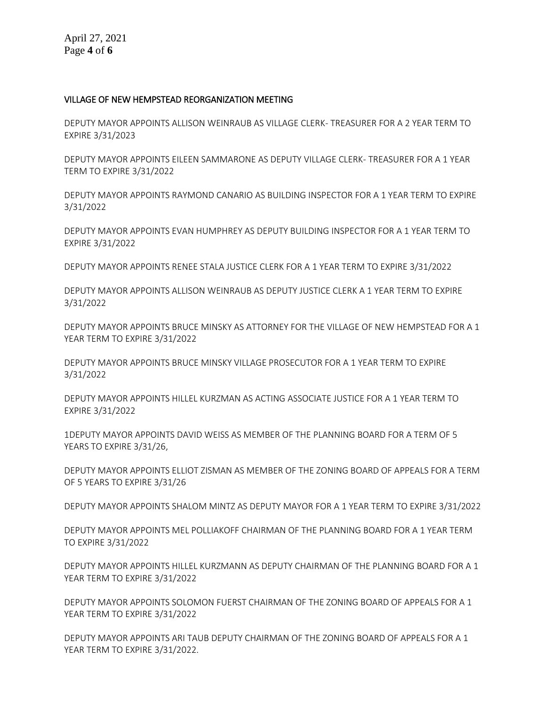#### VILLAGE OF NEW HEMPSTEAD REORGANIZATION MEETING

DEPUTY MAYOR APPOINTS ALLISON WEINRAUB AS VILLAGE CLERK- TREASURER FOR A 2 YEAR TERM TO EXPIRE 3/31/2023

DEPUTY MAYOR APPOINTS EILEEN SAMMARONE AS DEPUTY VILLAGE CLERK- TREASURER FOR A 1 YEAR TERM TO EXPIRE 3/31/2022

DEPUTY MAYOR APPOINTS RAYMOND CANARIO AS BUILDING INSPECTOR FOR A 1 YEAR TERM TO EXPIRE 3/31/2022

DEPUTY MAYOR APPOINTS EVAN HUMPHREY AS DEPUTY BUILDING INSPECTOR FOR A 1 YEAR TERM TO EXPIRE 3/31/2022

DEPUTY MAYOR APPOINTS RENEE STALA JUSTICE CLERK FOR A 1 YEAR TERM TO EXPIRE 3/31/2022

DEPUTY MAYOR APPOINTS ALLISON WEINRAUB AS DEPUTY JUSTICE CLERK A 1 YEAR TERM TO EXPIRE 3/31/2022

DEPUTY MAYOR APPOINTS BRUCE MINSKY AS ATTORNEY FOR THE VILLAGE OF NEW HEMPSTEAD FOR A 1 YEAR TERM TO EXPIRE 3/31/2022

DEPUTY MAYOR APPOINTS BRUCE MINSKY VILLAGE PROSECUTOR FOR A 1 YEAR TERM TO EXPIRE 3/31/2022

DEPUTY MAYOR APPOINTS HILLEL KURZMAN AS ACTING ASSOCIATE JUSTICE FOR A 1 YEAR TERM TO EXPIRE 3/31/2022

1DEPUTY MAYOR APPOINTS DAVID WEISS AS MEMBER OF THE PLANNING BOARD FOR A TERM OF 5 YEARS TO EXPIRE 3/31/26,

DEPUTY MAYOR APPOINTS ELLIOT ZISMAN AS MEMBER OF THE ZONING BOARD OF APPEALS FOR A TERM OF 5 YEARS TO EXPIRE 3/31/26

DEPUTY MAYOR APPOINTS SHALOM MINTZ AS DEPUTY MAYOR FOR A 1 YEAR TERM TO EXPIRE 3/31/2022

DEPUTY MAYOR APPOINTS MEL POLLIAKOFF CHAIRMAN OF THE PLANNING BOARD FOR A 1 YEAR TERM TO EXPIRE 3/31/2022

DEPUTY MAYOR APPOINTS HILLEL KURZMANN AS DEPUTY CHAIRMAN OF THE PLANNING BOARD FOR A 1 YEAR TERM TO EXPIRE 3/31/2022

DEPUTY MAYOR APPOINTS SOLOMON FUERST CHAIRMAN OF THE ZONING BOARD OF APPEALS FOR A 1 YEAR TERM TO EXPIRE 3/31/2022

DEPUTY MAYOR APPOINTS ARI TAUB DEPUTY CHAIRMAN OF THE ZONING BOARD OF APPEALS FOR A 1 YEAR TERM TO EXPIRE 3/31/2022.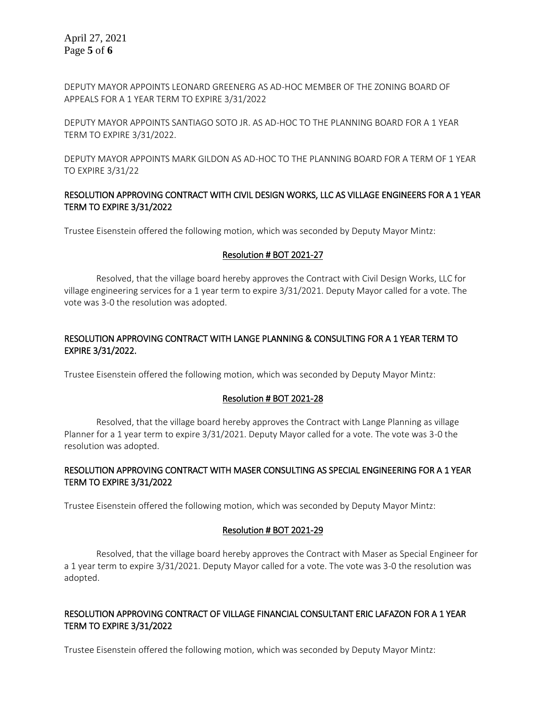April 27, 2021 Page **5** of **6**

DEPUTY MAYOR APPOINTS LEONARD GREENERG AS AD-HOC MEMBER OF THE ZONING BOARD OF APPEALS FOR A 1 YEAR TERM TO EXPIRE 3/31/2022

DEPUTY MAYOR APPOINTS SANTIAGO SOTO JR. AS AD-HOC TO THE PLANNING BOARD FOR A 1 YEAR TERM TO EXPIRE 3/31/2022.

DEPUTY MAYOR APPOINTS MARK GILDON AS AD-HOC TO THE PLANNING BOARD FOR A TERM OF 1 YEAR TO EXPIRE 3/31/22

#### RESOLUTION APPROVING CONTRACT WITH CIVIL DESIGN WORKS, LLC AS VILLAGE ENGINEERS FOR A 1 YEAR TERM TO EXPIRE 3/31/2022

Trustee Eisenstein offered the following motion, which was seconded by Deputy Mayor Mintz:

#### Resolution # BOT 2021-27

Resolved, that the village board hereby approves the Contract with Civil Design Works, LLC for village engineering services for a 1 year term to expire 3/31/2021. Deputy Mayor called for a vote. The vote was 3-0 the resolution was adopted.

### RESOLUTION APPROVING CONTRACT WITH LANGE PLANNING & CONSULTING FOR A 1 YEAR TERM TO EXPIRE 3/31/2022.

Trustee Eisenstein offered the following motion, which was seconded by Deputy Mayor Mintz:

#### Resolution # BOT 2021-28

Resolved, that the village board hereby approves the Contract with Lange Planning as village Planner for a 1 year term to expire 3/31/2021. Deputy Mayor called for a vote. The vote was 3-0 the resolution was adopted.

#### RESOLUTION APPROVING CONTRACT WITH MASER CONSULTING AS SPECIAL ENGINEERING FOR A 1 YEAR TERM TO EXPIRE 3/31/2022

Trustee Eisenstein offered the following motion, which was seconded by Deputy Mayor Mintz:

#### Resolution # BOT 2021-29

Resolved, that the village board hereby approves the Contract with Maser as Special Engineer for a 1 year term to expire 3/31/2021. Deputy Mayor called for a vote. The vote was 3-0 the resolution was adopted.

#### RESOLUTION APPROVING CONTRACT OF VILLAGE FINANCIAL CONSULTANT ERIC LAFAZON FOR A 1 YEAR TERM TO EXPIRE 3/31/2022

Trustee Eisenstein offered the following motion, which was seconded by Deputy Mayor Mintz: